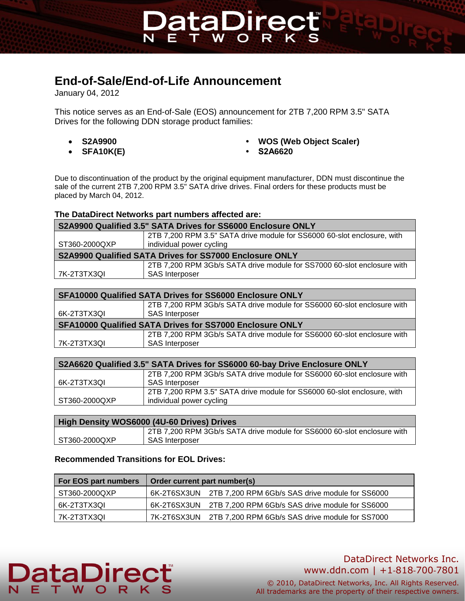# **End-of-Sale/End-of-Life Announcement**

January 04, 2012

This notice serves as an End-of-Sale (EOS) announcement for 2TB 7,200 RPM 3.5" SATA Drives for the following DDN storage product families:

DataDirec

**W** 

- 
- **SFA10K(E) S2A6620**
- **S2A9900 WOS (Web Object Scaler)**
	-

Due to discontinuation of the product by the original equipment manufacturer, DDN must discontinue the sale of the current 2TB 7,200 RPM 3.5" SATA drive drives. Final orders for these products must be placed by March 04, 2012.

#### **The DataDirect Networks part numbers affected are:**

| S2A9900 Qualified 3.5" SATA Drives for SS6000 Enclosure ONLY |                                                                         |  |  |
|--------------------------------------------------------------|-------------------------------------------------------------------------|--|--|
|                                                              | 2TB 7,200 RPM 3.5" SATA drive module for SS6000 60-slot enclosure, with |  |  |
| ST360-2000QXP                                                | individual power cycling                                                |  |  |
| S2A9900 Qualified SATA Drives for SS7000 Enclosure ONLY      |                                                                         |  |  |
|                                                              | 2TB 7,200 RPM 3Gb/s SATA drive module for SS7000 60-slot enclosure with |  |  |
| 7K-2T3TX3QI                                                  | <b>SAS Interposer</b>                                                   |  |  |

| <b>SFA10000 Qualified SATA Drives for SS6000 Enclosure ONLY</b> |                                                                         |  |  |
|-----------------------------------------------------------------|-------------------------------------------------------------------------|--|--|
|                                                                 | 2TB 7,200 RPM 3Gb/s SATA drive module for SS6000 60-slot enclosure with |  |  |
| 6K-2T3TX3QI                                                     | <b>SAS Interposer</b>                                                   |  |  |
| <b>SFA10000 Qualified SATA Drives for SS7000 Enclosure ONLY</b> |                                                                         |  |  |
|                                                                 | 2TB 7,200 RPM 3Gb/s SATA drive module for SS6000 60-slot enclosure with |  |  |
| 7K-2T3TX3QI                                                     | <b>SAS Interposer</b>                                                   |  |  |

| S2A6620 Qualified 3.5" SATA Drives for SS6000 60-bay Drive Enclosure ONLY |                                                                         |  |
|---------------------------------------------------------------------------|-------------------------------------------------------------------------|--|
|                                                                           | 2TB 7,200 RPM 3Gb/s SATA drive module for SS6000 60-slot enclosure with |  |
| 6K-2T3TX3QI                                                               | <b>SAS Interposer</b>                                                   |  |
|                                                                           | 2TB 7,200 RPM 3.5" SATA drive module for SS6000 60-slot enclosure, with |  |
| ST360-2000QXP                                                             | individual power cycling                                                |  |
|                                                                           |                                                                         |  |

| High Density WOS6000 (4U-60 Drives) Drives |                                                                         |  |  |
|--------------------------------------------|-------------------------------------------------------------------------|--|--|
|                                            | 2TB 7,200 RPM 3Gb/s SATA drive module for SS6000 60-slot enclosure with |  |  |
| ST360-2000QXP                              | <b>SAS</b> Interposer                                                   |  |  |

### **Recommended Transitions for EOL Drives:**

**DataDirec** 

E T .

| <b>For EOS part numbers</b> | Order current part number(s)                                |  |
|-----------------------------|-------------------------------------------------------------|--|
| ST360-2000QXP               | 6K-2T6SX3UN 2TB 7,200 RPM 6Gb/s SAS drive module for SS6000 |  |
| 6K-2T3TX3QI                 | 6K-2T6SX3UN 2TB 7,200 RPM 6Gb/s SAS drive module for SS6000 |  |
| l 7K-2T3TX3QI               | 7K-2T6SX3UN 2TB 7,200 RPM 6Gb/s SAS drive module for SS7000 |  |

# DataDirect Networks Inc. www.ddn.com | +1‐818‐700‐7801

© 2010, DataDirect Networks, Inc. All Rights Reserved. All trademarks are the property of their respective owners.